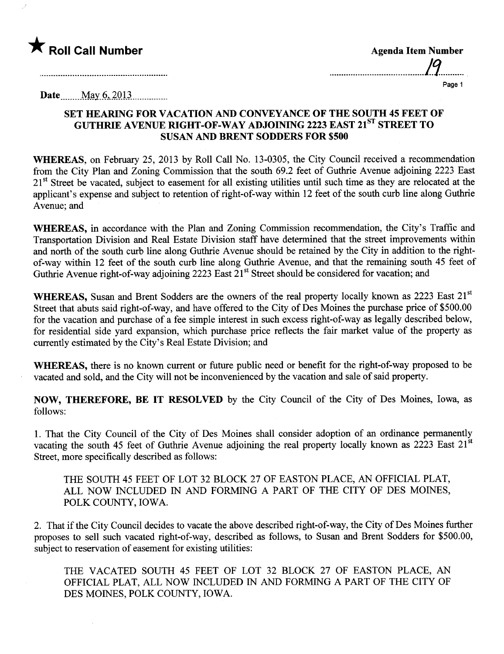

 $\mathcal{I}$ 

| <b>Agenda Item Number</b> |  |
|---------------------------|--|
| מו                        |  |
| Page 1                    |  |

Date May 6, 2013

 $\mathcal{L}_{\text{eff}}$ 

## SET HEARNG FOR VACATION AND CONVEYANCE OF THE SOUTH 45 FEET OF GUTHRIE AVENUE RIGHT-OF-WAY ADJOINING 2223 EAST 21<sup>ST</sup> STREET TO SUSAN AND BRENT SODDERS FOR \$500

WHEREAS, on February 25, 2013 by Roll Call No. 13-0305, the City Council received a recommendation from the City Plan and Zoning Commission that the south 69.2 feet of Guthrie Avenue adjoining 2223 East 21<sup>st</sup> Street be vacated, subject to easement for all existing utilities until such time as they are relocated at the applicant's expense and subject to retention of right-of-way within 12 feet of the south curb line along Guthrie Avenue; and

WHEREAS, in accordance with the Plan and Zoning Commission recommendation, the City's Traffic and Transportation Division and Real Estate Division staff have determined that the street improvements within and north of the south curb line along Guthrie Avenue should be retained by the City in addition to the rightof-way within 12 feet of the south curb line along Guthre Avenue, and that the remaining south 45 feet of Guthrie Avenue right-of-way adjoining 2223 East  $21<sup>st</sup>$  Street should be considered for vacation; and

WHEREAS, Susan and Brent Sodders are the owners of the real property locally known as 2223 East 21<sup>st</sup> Street that abuts said right-of-way, and have offered to the City of Des Moines the purchase price of \$500.00 for the vacation and purchase of a fee simple interest in such excess right-of-way as legally described below, for residential side yard expansion, which purchase price reflects the fair market value of the property as curently estimated by the City's Real Estate Division; and

WHEREAS, there is no known current or future public need or benefit for the right-of-way proposed to be vacated and sold, and the City will not be inconvenienced by the vacation and sale of said property.

NOW, THEREFORE, BE IT RESOLVED by the City Council of the City of Des Moines, Iowa, as follows:

1. That the City Council of the City of Des Moines shall consider adoption of an ordinance permanently vacating the south 45 feet of Guthrie Avenue adjoining the real property locally known as 2223 East 21<sup>st</sup> Street, more specifically described as follows:

THE SOUTH 45 FEET OF LOT 32 BLOCK 27 OF EASTON PLACE, AN OFFICIAL PLAT, ALL NOW INCLUDED IN AND FORMING APART OF THE CITY OF DES MOINES, POLK COUNTY, IOWA.

2. That if the City Council decides to vacate the above described right-of-way, the City of Des Moines further proposes to sell such vacated right-of-way, described as follows, to Susan and Brent Sodders for \$500.00, subject to reservation of easement for existing utilities:

THE VACATED SOUTH 45 FEET OF LOT 32 BLOCK 27 OF EASTON PLACE, AN OFFICIAL PLAT, ALL NOW INCLUDED IN AND FORMING A PART OF THE CITY OF DES MOINES, POLK COUNTY, IOWA.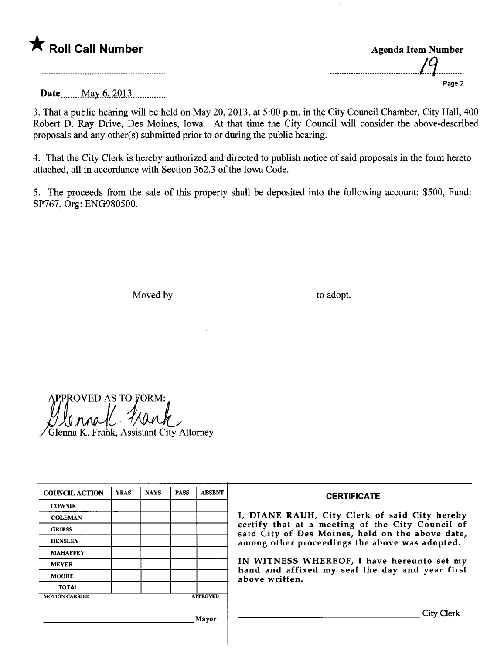

| <b>Agenda Item Number</b>                 |        |
|-------------------------------------------|--------|
| // j<br>$\boldsymbol{M}$ $\boldsymbol{I}$ |        |
|                                           | Page 2 |

Date ...... ...M.ay. §-'..2.O'U.............

3. That a public hearng wil be held on May 20, 2013, at 5:00 p.m. in the City Council Chamber, City Hall, 400 Robert D. Ray Drive, Des Moines, Iowa. At that time the City Council will consider the above-described proposals and any other(s) submitted prior to or during the public hearing.

4. That the City Clerk is hereby authorized and directed to publish notice of said proposals in the form hereto attached, all in accordance with Section 362.3 of the Iowa Code.

5. The proceeds from the sale of this property shall be deposited into the following account: \$500, Fund: SP767, Org: ENG980500.

Moved by to adopt.

PROVED AS TO FORM:

Glenna K. Frank, Assistant City Attorney

| <b>COUNCIL ACTION</b> | <b>YEAS</b> | <b>NAYS</b> | <b>PASS</b> | <b>ABSENT</b>   | <b>CERTIFICATE</b>                                                                                                                                    |
|-----------------------|-------------|-------------|-------------|-----------------|-------------------------------------------------------------------------------------------------------------------------------------------------------|
| <b>COWNIE</b>         |             |             |             |                 |                                                                                                                                                       |
| <b>COLEMAN</b>        |             |             |             |                 | I, DIANE RAUH, City Clerk of said City hereby<br>certify that at a meeting of the City Council of<br>said City of Des Moines, held on the above date, |
| <b>GRIESS</b>         |             |             |             |                 |                                                                                                                                                       |
| <b>HENSLEY</b>        |             |             |             |                 | among other proceedings the above was adopted.                                                                                                        |
| <b>MAHAFFEY</b>       |             |             |             |                 | IN WITNESS WHEREOF, I have hereunto set my                                                                                                            |
| <b>MEYER</b>          |             |             |             |                 |                                                                                                                                                       |
| <b>MOORE</b>          |             |             |             |                 | hand and affixed my seal the day and year first<br>above written.                                                                                     |
| <b>TOTAL</b>          |             |             |             |                 |                                                                                                                                                       |
| <b>MOTION CARRIED</b> |             |             |             | <b>APPROVED</b> |                                                                                                                                                       |
|                       |             |             |             | Mavor           | City Clerk                                                                                                                                            |